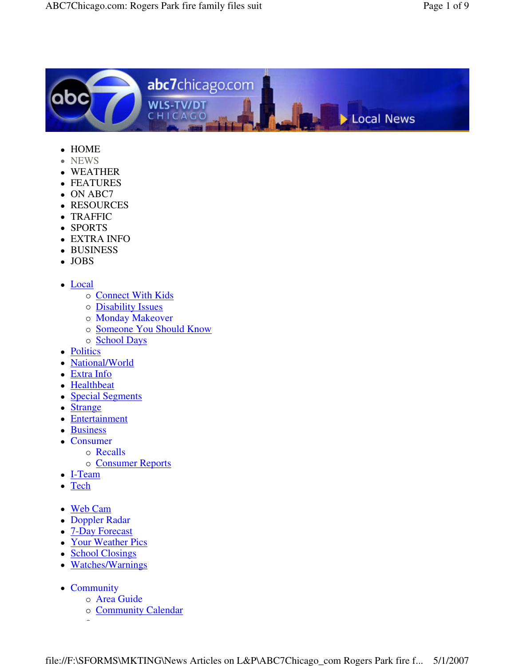

- HOME
- NEWS
- WEATHER
- FEATURES
- ON ABC7
- RESOURCES
- TRAFFIC
- SPORTS
- EXTRA INFO
- BUSINESS
- JOBS
- Local
	- o Connect With Kids
	- o **Disability Issues**
	- o Monday Makeover
	- o Someone You Should Know
	- o School Days
- Politics
- National/World
- Extra Info
- Healthbeat
- Special Segments
- Strange
- Entertainment
- Business
- Consumer
	- o Recalls
	- o Consumer Reports
- I-Team
- Tech
- Web Cam
- Doppler Radar
- 7-Day Forecast
- Your Weather Pics
- School Closings
- Watches/Warnings
- Community

-

- o **Area Guide**
- o Community Calendar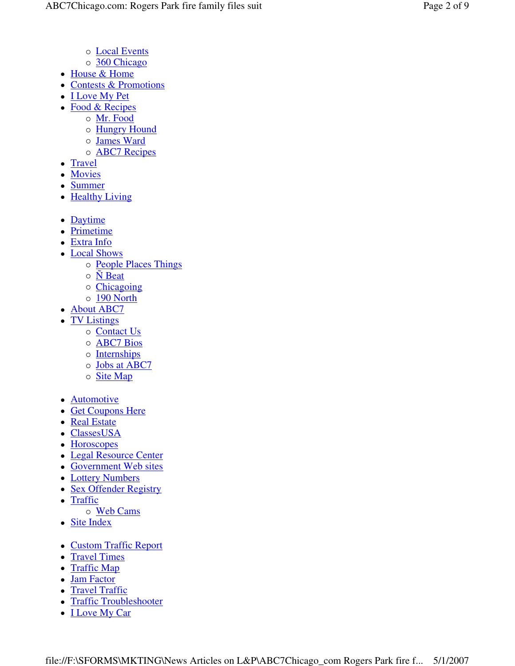- o Local Events
- o 360 Chicago
- House & Home
- Contests & Promotions
- **I Love My Pet**
- Food & Recipes
	- o Mr. Food
		- o Hungry Hound
		- o James Ward
		- o **ABC7** Recipes
- Travel
- Movies
- Summer
- $\bullet$ **Healthy Living**
- Daytime
- Primetime
- Extra Info
- Local Shows
	- o **People Places Things**
	- $\circ$  **N** Beat
	- o Chicagoing
	- o 190 North
- About ABC7
- TV Listings
	- o Contact Us
	- o **ABC7** Bios
	- o Internships
	- o Jobs at ABC7
	- o Site Map
- **Automotive**
- Get Coupons Here
- Real Estate
- ClassesUSA
- Horoscopes
- Legal Resource Center
- Government Web sites
- Lottery Numbers
- Sex Offender Registry
- $\bullet$ Traffic
- o Web Cams
- Site Index
- Custom Traffic Report
- Travel Times
- Traffic Map
- Jam Factor
- Travel Traffic
- Traffic Troubleshooter
- **I Love My Car**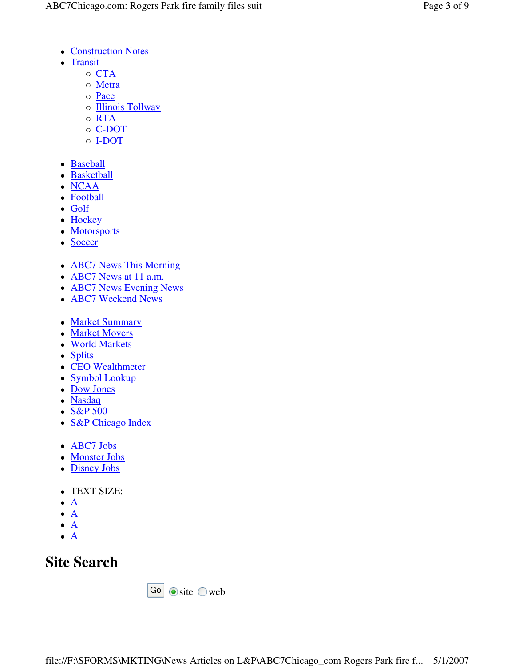- Construction Notes
- Transit
	- $\circ$   $CTA$
	- o Metra
	- o Pace
	- o **Illinois Tollway**
	- o RTA
	- o C-DOT
	- o **I-DOT**
- Baseball
- **Basketball**
- NCAA
- Football
- Golf
- Hockey
- Motorsports
- Soccer
- **ABC7 News This Morning**
- **ABC7** News at 11 a.m.
- **ABC7 News Evening News**
- **ABC7** Weekend News
- Market Summary
- Market Movers
- World Markets
- Splits
- CEO Wealthmeter
- Symbol Lookup
- Dow Jones
- Nasdaq
- $\cdot$  S&P 500
- **S&P Chicago Index**
- **ABC7** Jobs
- Monster Jobs
- Disney Jobs
- TEXT SIZE:
- $\bullet$   $\underline{A}$
- $\bullet$   $\underline{A}$
- $\bullet$  A
- $\bullet$   $\underline{A}$

## **Site Search**

Go  $\circ$  site  $\circ$  web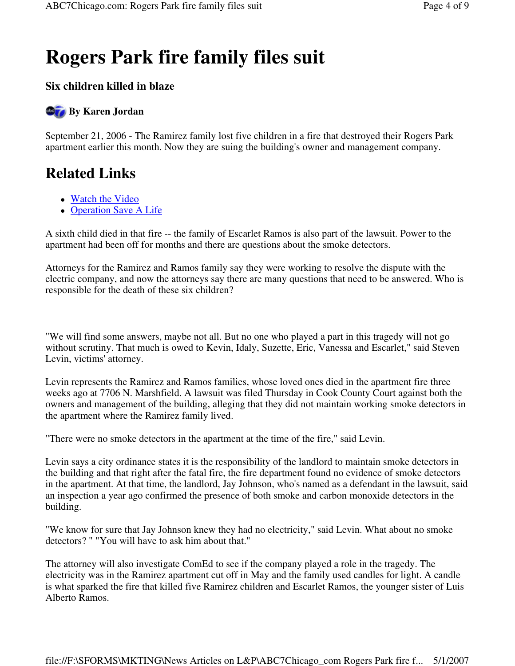# **Rogers Park fire family files suit**

### **Six children killed in blaze**

### **By Karen Jordan**

September 21, 2006 - The Ramirez family lost five children in a fire that destroyed their Rogers Park apartment earlier this month. Now they are suing the building's owner and management company.

## **Related Links**

- Watch the Video
- Operation Save A Life

A sixth child died in that fire -- the family of Escarlet Ramos is also part of the lawsuit. Power to the apartment had been off for months and there are questions about the smoke detectors.

Attorneys for the Ramirez and Ramos family say they were working to resolve the dispute with the electric company, and now the attorneys say there are many questions that need to be answered. Who is responsible for the death of these six children?

"We will find some answers, maybe not all. But no one who played a part in this tragedy will not go without scrutiny. That much is owed to Kevin, Idaly, Suzette, Eric, Vanessa and Escarlet," said Steven Levin, victims' attorney.

Levin represents the Ramirez and Ramos families, whose loved ones died in the apartment fire three weeks ago at 7706 N. Marshfield. A lawsuit was filed Thursday in Cook County Court against both the owners and management of the building, alleging that they did not maintain working smoke detectors in the apartment where the Ramirez family lived.

"There were no smoke detectors in the apartment at the time of the fire," said Levin.

Levin says a city ordinance states it is the responsibility of the landlord to maintain smoke detectors in the building and that right after the fatal fire, the fire department found no evidence of smoke detectors in the apartment. At that time, the landlord, Jay Johnson, who's named as a defendant in the lawsuit, said an inspection a year ago confirmed the presence of both smoke and carbon monoxide detectors in the building.

"We know for sure that Jay Johnson knew they had no electricity," said Levin. What about no smoke detectors? " "You will have to ask him about that."

The attorney will also investigate ComEd to see if the company played a role in the tragedy. The electricity was in the Ramirez apartment cut off in May and the family used candles for light. A candle is what sparked the fire that killed five Ramirez children and Escarlet Ramos, the younger sister of Luis Alberto Ramos.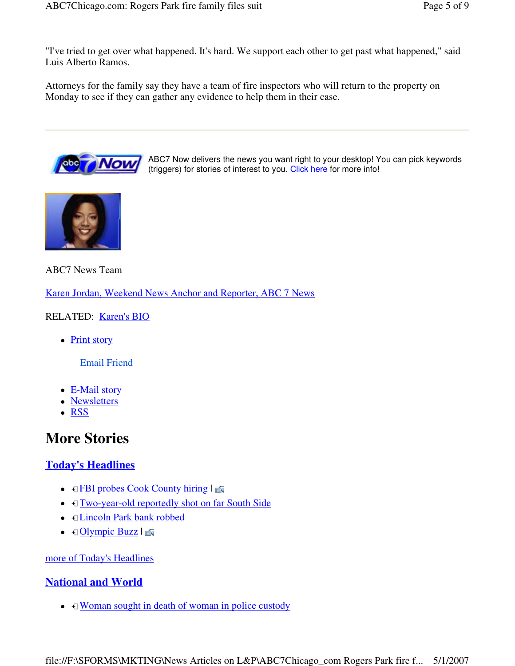"I've tried to get over what happened. It's hard. We support each other to get past what happened," said Luis Alberto Ramos.

Attorneys for the family say they have a team of fire inspectors who will return to the property on Monday to see if they can gather any evidence to help them in their case.



ABC7 Now delivers the news you want right to your desktop! You can pick keywords (triggers) for stories of interest to you. Click here for more info!



ABC7 News Team

Karen Jordan, Weekend News Anchor and Reporter, ABC 7 News

RELATED: Karen's BIO

• Print story

Email Friend

- E-Mail story
- Newsletters
- RSS

### **More Stories**

#### **Today's Headlines**

- $\bullet$   $\Box$  FBI probes Cook County hiring  $\Box$
- $\bullet$   $\Box$  Two-year-old reportedly shot on far South Side
- **<u>Elincoln Park bank robbed</u>**
- $\bullet$   $\Box$  Olympic Buzz  $|\Box$

more of Today's Headlines

#### **National and World**

 $\bullet$   $\Box$  Woman sought in death of woman in police custody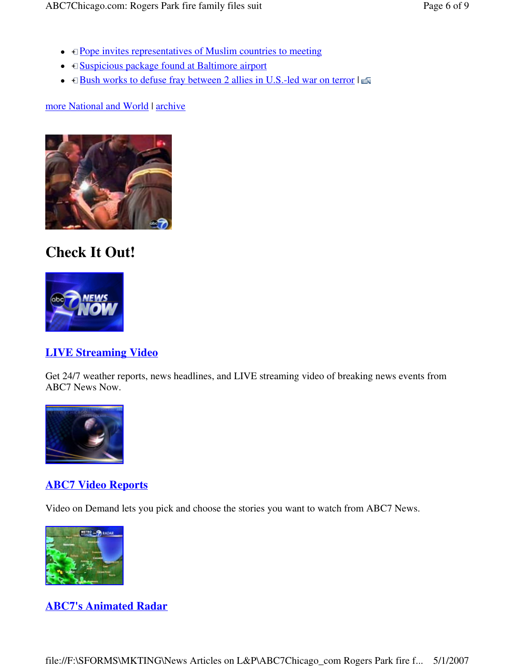- $\bullet$   $\Box$  Pope invites representatives of Muslim countries to meeting
- $\Box$  Suspicious package found at Baltimore airport
- $\bullet$   $\Box$  Bush works to defuse fray between 2 allies in U.S.-led war on terror  $|\Box$

more National and World | archive



### **Check It Out!**



#### **LIVE Streaming Video**

Get 24/7 weather reports, news headlines, and LIVE streaming video of breaking news events from ABC7 News Now.



#### **ABC7 Video Reports**

Video on Demand lets you pick and choose the stories you want to watch from ABC7 News.



#### **ABC7's Animated Radar**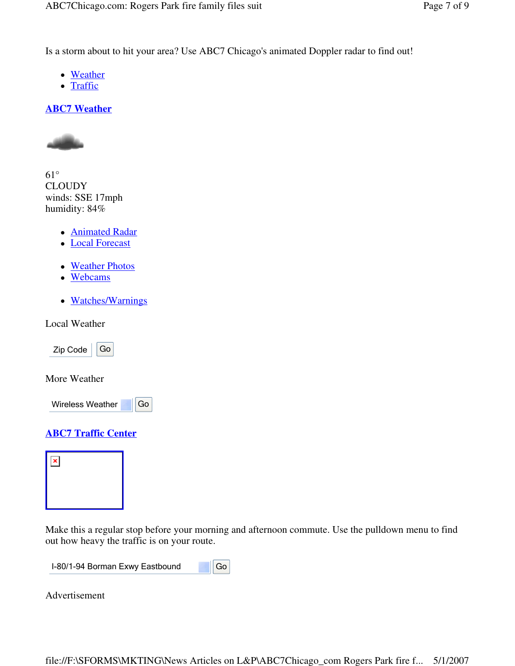Is a storm about to hit your area? Use ABC7 Chicago's animated Doppler radar to find out!

- Weather
- Traffic

#### **ABC7 Weather**



61° **CLOUDY** winds: SSE 17mph humidity: 84%

- Animated Radar
- Local Forecast
- Weather Photos
- Webcams
- Watches/Warnings

Local Weather

 $Zip Code | Go$ 

More Weather



#### **ABC7 Traffic Center**



Make this a regular stop before your morning and afternoon commute. Use the pulldown menu to find out how heavy the traffic is on your route.

 $\overline{\phantom{a}}$ I-80/1-94 Borman Exwy Eastbound Go

Advertisement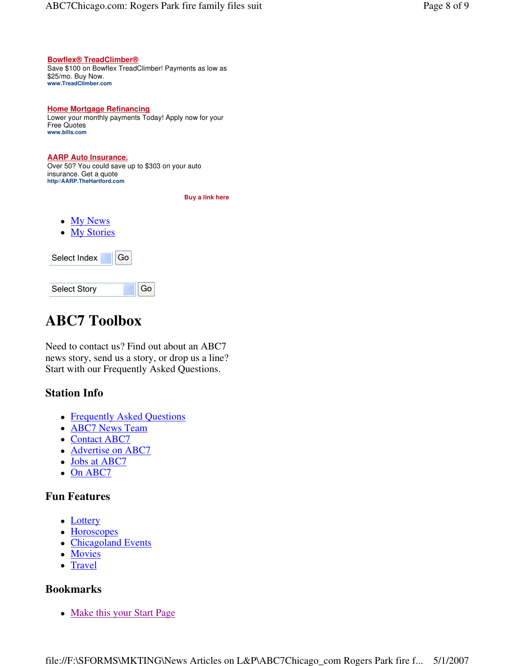#### **Bowflex® TreadClimber®**

Save \$100 on Bowflex TreadClimber! Payments as low as \$25/mo. Buy Now. **www.TreadClimber.com**

#### **Home Mortgage Refinancing**  Lower your monthly payments Today! Apply now for your Free Quotes **www.bills.com**

#### **AARP Auto Insurance.**  Over 50? You could save up to \$303 on your auto insurance. Get a quote **http//AARP.TheHartford.com**

 **Buy a link here** 

• My News • My Stories



### **ABC7 Toolbox**

Need to contact us? Find out about an ABC7 news story, send us a story, or drop us a line? Start with our Frequently Asked Questions.

#### **Station Info**

- Frequently Asked Questions
- **ABC7 News Team**
- Contact ABC7
- Advertise on ABC7
- Jobs at ABC7
- On ABC7

#### **Fun Features**

- Lottery
- Horoscopes
- Chicagoland Events
- Movies
- Travel

#### **Bookmarks**

• Make this your Start Page